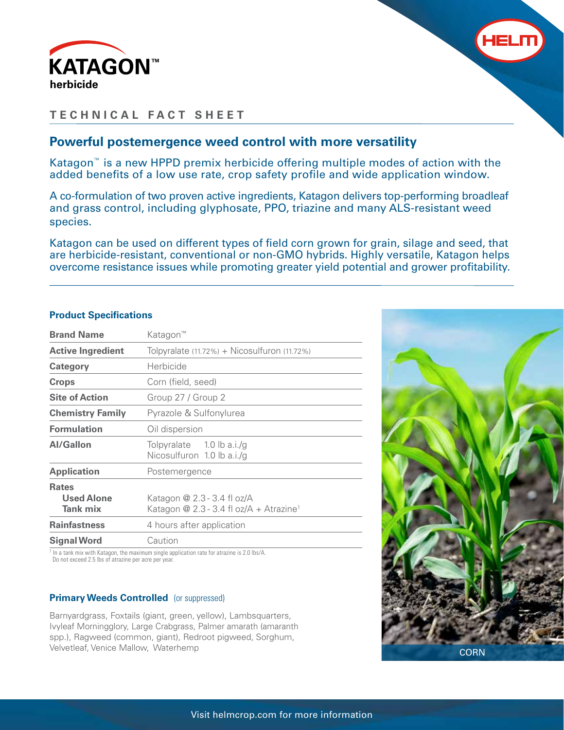



# **TECHNICAL FACT SHEET**

## **Powerful postemergence weed control with more versatility**

Katagon™ is a new HPPD premix herbicide offering multiple modes of action with the added benefits of a low use rate, crop safety profile and wide application window.

A co-formulation of two proven active ingredients, Katagon delivers top-performing broadleaf and grass control, including glyphosate, PPO, triazine and many ALS-resistant weed species.

Katagon can be used on different types of field corn grown for grain, silage and seed, that are herbicide-resistant, conventional or non-GMO hybrids. Highly versatile, Katagon helps overcome resistance issues while promoting greater yield potential and grower profitability.

| <b>Brand Name</b>                             | Katagon™                                                                           |  |  |
|-----------------------------------------------|------------------------------------------------------------------------------------|--|--|
| <b>Active Ingredient</b>                      | Tolpyralate (11.72%) + Nicosulfuron (11.72%)                                       |  |  |
| Category                                      | Herbicide                                                                          |  |  |
| <b>Crops</b>                                  | Corn (field, seed)                                                                 |  |  |
| <b>Site of Action</b>                         | Group 27 / Group 2                                                                 |  |  |
| <b>Chemistry Family</b>                       | Pyrazole & Sulfonylurea                                                            |  |  |
| <b>Formulation</b>                            | Oil dispersion                                                                     |  |  |
| <b>Al/Gallon</b>                              | Tolpyralate $1.0$ lb a.i./g<br>Nicosulfuron 1.0 lb a.i./g                          |  |  |
| <b>Application</b>                            | Postemergence                                                                      |  |  |
| <b>Rates</b><br><b>Used Alone</b><br>Tank mix | Katagon @ 2.3 - 3.4 fl oz/A<br>Katagon @ 2.3 - 3.4 fl oz/A + Atrazine <sup>1</sup> |  |  |
| <b>Rainfastness</b>                           | 4 hours after application                                                          |  |  |
| <b>Signal Word</b>                            | Caution                                                                            |  |  |
|                                               |                                                                                    |  |  |

**Product Specifications**

<sup>1</sup> In a tank mix with Katagon, the maximum single application rate for atrazine is 2.0 lbs/A. Do not exceed 2.5 lbs of atrazine per acre per year.

## **Primary Weeds Controlled** (or suppressed)

Barnyardgrass, Foxtails (giant, green, yellow), Lambsquarters, Ivyleaf Morningglory, Large Crabgrass, Palmer amarath (amaranth spp.), Ragweed (common, giant), Redroot pigweed, Sorghum, Velvetleaf, Venice Mallow, Waterhemp